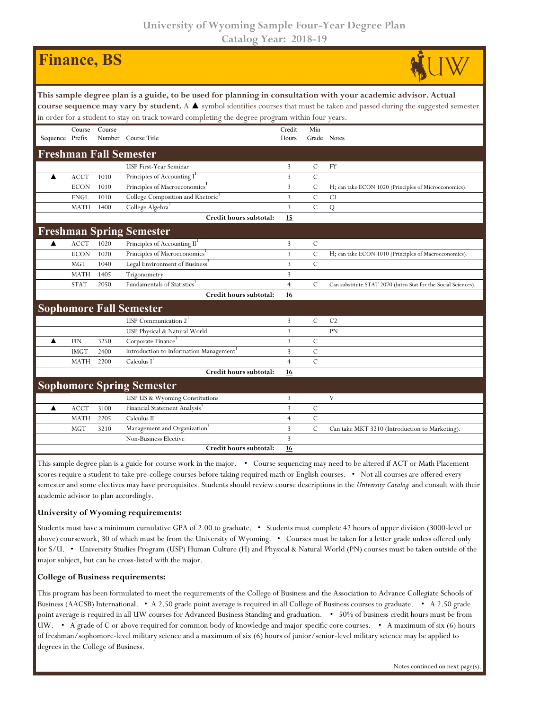## **University of Wyoming Sample Four-Year Degree Plan Catalog Year: 2018-19**

|                                                                                                                                                                                                                                                                                                                                                                    |             | <b>Finance</b> , BS |                                                     |                 |               |                                                                |  |  |  |  |
|--------------------------------------------------------------------------------------------------------------------------------------------------------------------------------------------------------------------------------------------------------------------------------------------------------------------------------------------------------------------|-------------|---------------------|-----------------------------------------------------|-----------------|---------------|----------------------------------------------------------------|--|--|--|--|
| This sample degree plan is a guide, to be used for planning in consultation with your academic advisor. Actual<br>course sequence may vary by student. A $\blacktriangle$ symbol identifies courses that must be taken and passed during the suggested semester<br>in order for a student to stay on track toward completing the degree program within four years. |             |                     |                                                     |                 |               |                                                                |  |  |  |  |
| Sequence Prefix                                                                                                                                                                                                                                                                                                                                                    | Course      | Course              | Number Course Title                                 | Credit<br>Hours | Min           | Grade Notes                                                    |  |  |  |  |
|                                                                                                                                                                                                                                                                                                                                                                    |             |                     | <b>Freshman Fall Semester</b>                       |                 |               |                                                                |  |  |  |  |
|                                                                                                                                                                                                                                                                                                                                                                    |             |                     | USP First-Year Seminar                              | 3               | C             | FY                                                             |  |  |  |  |
| ▲                                                                                                                                                                                                                                                                                                                                                                  | <b>ACCT</b> | 1010                | Principles of Accounting I                          | 3               | $\mathcal{C}$ |                                                                |  |  |  |  |
|                                                                                                                                                                                                                                                                                                                                                                    | <b>ECON</b> | 1010                | Principles of Macroeconomics <sup>1</sup>           | 3               | C             | H; can take ECON 1020 (Principles of Microeconomics).          |  |  |  |  |
|                                                                                                                                                                                                                                                                                                                                                                    | <b>ENGL</b> | 1010                | College Composition and Rhetoric <sup>1</sup>       | $\overline{3}$  | $\mathsf{C}$  | C <sub>1</sub>                                                 |  |  |  |  |
|                                                                                                                                                                                                                                                                                                                                                                    | <b>MATH</b> | 1400                | College Algebra <sup>2</sup>                        | $\overline{3}$  | $\mathcal{C}$ | Q                                                              |  |  |  |  |
|                                                                                                                                                                                                                                                                                                                                                                    |             |                     | Credit hours subtotal:                              | 15              |               |                                                                |  |  |  |  |
|                                                                                                                                                                                                                                                                                                                                                                    |             |                     | <b>Freshman Spring Semester</b>                     |                 |               |                                                                |  |  |  |  |
| ▲                                                                                                                                                                                                                                                                                                                                                                  | <b>ACCT</b> | 1020                | Principles of Accounting II <sup>1</sup>            | 3               | $\mathcal{C}$ |                                                                |  |  |  |  |
|                                                                                                                                                                                                                                                                                                                                                                    | <b>ECON</b> | 1020                | Principles of Microeconomics                        | 3               | $\mathsf{C}$  | H; can take ECON 1010 (Principles of Macroeconomics).          |  |  |  |  |
|                                                                                                                                                                                                                                                                                                                                                                    | <b>MGT</b>  | 1040                | Legal Environment of Business <sup>3</sup>          | $\overline{3}$  | $\mathsf{C}$  |                                                                |  |  |  |  |
|                                                                                                                                                                                                                                                                                                                                                                    | <b>MATH</b> | 1405                | Trigonometry                                        | 3               |               |                                                                |  |  |  |  |
|                                                                                                                                                                                                                                                                                                                                                                    | <b>STAT</b> | 2050                | Fundamentals of Statistics <sup>1</sup>             | $\overline{4}$  | C             | Can substitute STAT 2070 (Intro Stat for the Social Sciences). |  |  |  |  |
|                                                                                                                                                                                                                                                                                                                                                                    |             |                     | Credit hours subtotal:                              | 16              |               |                                                                |  |  |  |  |
| <b>Sophomore Fall Semester</b>                                                                                                                                                                                                                                                                                                                                     |             |                     |                                                     |                 |               |                                                                |  |  |  |  |
|                                                                                                                                                                                                                                                                                                                                                                    |             |                     | USP Communication $2^1$                             | 3               | C             | C <sub>2</sub>                                                 |  |  |  |  |
|                                                                                                                                                                                                                                                                                                                                                                    |             |                     | USP Physical & Natural World                        | $\overline{3}$  |               | <b>PN</b>                                                      |  |  |  |  |
| ▲                                                                                                                                                                                                                                                                                                                                                                  | <b>FIN</b>  | 3250                | Corporate Finance <sup>3</sup>                      | $\overline{3}$  | $\mathcal{C}$ |                                                                |  |  |  |  |
|                                                                                                                                                                                                                                                                                                                                                                    | <b>IMGT</b> | 2400                | Introduction to Information Management <sup>1</sup> | 3               | $\mathcal{C}$ |                                                                |  |  |  |  |
|                                                                                                                                                                                                                                                                                                                                                                    | <b>MATH</b> | 2200                | Calculus $I^1$                                      | $\overline{4}$  | $\mathcal{C}$ |                                                                |  |  |  |  |
|                                                                                                                                                                                                                                                                                                                                                                    |             |                     | Credit hours subtotal:                              | 16              |               |                                                                |  |  |  |  |
|                                                                                                                                                                                                                                                                                                                                                                    |             |                     | <b>Sophomore Spring Semester</b>                    |                 |               |                                                                |  |  |  |  |
|                                                                                                                                                                                                                                                                                                                                                                    |             |                     | USP US & Wyoming Constitutions                      | 3               |               | V                                                              |  |  |  |  |
| ▲                                                                                                                                                                                                                                                                                                                                                                  | <b>ACCT</b> | 3100                | Financial Statement Analysis <sup>3</sup>           | 3               | $\mathcal{C}$ |                                                                |  |  |  |  |
|                                                                                                                                                                                                                                                                                                                                                                    | <b>MATH</b> | 2205                | Calculus II <sup>1</sup>                            | $\overline{4}$  | $\mathcal{C}$ |                                                                |  |  |  |  |
|                                                                                                                                                                                                                                                                                                                                                                    | <b>MGT</b>  | 3210                | Management and Organization <sup>3</sup>            | 3               | $\mathsf{C}$  | Can take MKT 3210 (Introduction to Marketing).                 |  |  |  |  |
|                                                                                                                                                                                                                                                                                                                                                                    |             |                     | Non-Business Elective                               | 3               |               |                                                                |  |  |  |  |
|                                                                                                                                                                                                                                                                                                                                                                    |             |                     | Credit hours subtotal:                              | <b>16</b>       |               |                                                                |  |  |  |  |

This sample degree plan is a guide for course work in the major. • Course sequencing may need to be altered if ACT or Math Placement scores require a student to take pre-college courses before taking required math or English courses. • Not all courses are offered every semester and some electives may have prerequisites. Students should review course descriptions in the *University Catalog* and consult with their academic advisor to plan accordingly.

## **University of Wyoming requirements:**

Students must have a minimum cumulative GPA of 2.00 to graduate. • Students must complete 42 hours of upper division (3000-level or above) coursework, 30 of which must be from the University of Wyoming. • Courses must be taken for a letter grade unless offered only for S/U. • University Studies Program (USP) Human Culture (H) and Physical & Natural World (PN) courses must be taken outside of the major subject, but can be cross-listed with the major.

## **College of Business requirements:**

This program has been formulated to meet the requirements of the College of Business and the Association to Advance Collegiate Schools of Business (AACSB) International. • A 2.50 grade point average is required in all College of Business courses to graduate. • A 2.50 grade point average is required in all UW courses for Advanced Business Standing and graduation. • 50% of business credit hours must be from UW. • A grade of C or above required for common body of knowledge and major specific core courses. • A maximum of six (6) hours of freshman/sophomore-level military science and a maximum of six (6) hours of junior/senior-level military science may be applied to degrees in the College of Business.